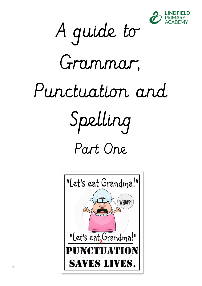



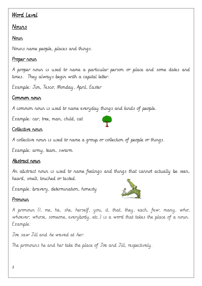# Word Level

### Nouns

### Noun

Nouns name people, places and things.

### Proper noun

A proper noun is used to name a particular person or place and some dates and times. They always begin with a capital letter.

Example: Jim, Tesco, Monday, April, Easter

#### Common rour

A common noun is used to name everyday things and kinds of people.

Example: car, tree, man, child, cat

#### Collective noun

A collective noun is used to name a group or collection of people or things.

Example: army, team, swarm

#### Abstract noun

An abstract noun is used to name feelings and things that cannot actually be seen, heard, smelt, touched or tasted.

Example: bravery, determination, honesty



#### Pronoun

A pronoun (I, me, he, she, herself, you, it, that, they, each, few, many, who, whoever, whose, someone, everybody, etc.) is a word that takes the place of a noun. Example:

Joe saw Jill and he waved at her.

The pronouns he and her take the place of Joe and Jill, respectively.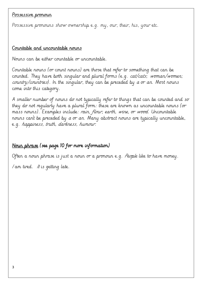#### <u>Possessive pronoun</u>

Possessive pronouns show ownership e.g. my, our, their, his, your etc.

#### Countable and uncountable nouns

Nouns can be either countable or uncountable.

Countable nouns (or count nouns) are those that refer to something that can be counted. They have both singular and plural forms (e.g. cat/cats; woman/women; country/countries). In the singular, they can be preceded by a or an. Most nouns come into this category.

A smaller number of nouns do not typically refer to things that can be counted and so they do not regularly have a plural form: these are known as uncountable nouns (or mass nouns). Examples include: rain, flour, earth, wine, or wood. Uncountable nouns can't be preceded by  $a$  or  $a_n$ . Many abstract nouns are typically uncountable, e.g. happiness, truth, darkness, humour.

### Noun phrase (see page 10 for more information)

Often a noun phrase is just a noun or a pronoun e.g. People like to have money.  $\sqrt{am}$  tired. It is getting late.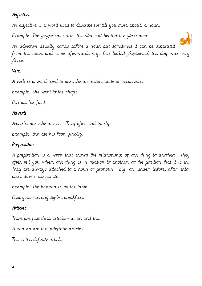## <u>Adjective</u>

An adjective is a word used to describe (or tell you more about) a noun.

Example: The ginger cat sat on the *blue* mat behind the glass door.

An adjective usually comes before a noun but sometimes it can be separated from the noun and come afterwards e.g. Ben looked frightened, the dog was very fierce.

# Verb

A verb is a word used to describe an action, state or occurrence.

Example: She went to the shops.

Ben ate his food.

# Adverb

Adverbs describe a verb. They often end in -ly.

Example: Ben ate his food quickly.

# Preposition

A preposition is a word that shows the relationship of one thing to another. They often tell you where one thing is in relation to another, or the position that it is in. They are always attached to a noun or pronoun. E,g. on, under, before, after, into, past, down, across etc.

Example: The banana is on the table.

Fred goes running *before* breakfast.

# Articles

There are just three articles- a, an and the.

A and an are the indefinite articles.

The is the definite article.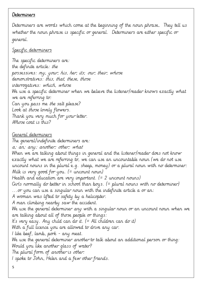#### Determiners

Determiners are words which come at the beginning of the noun phrase. They tell us whether the noun phrase is specific or general. Determiners are either specific or general.

#### Specific determiners

The specific determiners are: the definite article: the possessives: my, your, his, her, its; our, their, whose demonstratives: this, that, these, those interrogatives: which, whose We use a specific determiner when we believe the listener/reader knows exactly what we are referring to: Can you pass me the salt please? Look at those lovely flowers. Thank you very much for your letter. Whose coat is this? General determiners The general/indefinite determiners are: a; an; any; another; other; what When we are talking about things in general and the listener/reader does not know exactly what we are referring to, we can use an uncountable noun (we do not use uncount nouns in the plural e.g. sheep, money) or a plural noun with no determiner: Milk is very good for you. (= uncount noun) Health and education are very important. (= 2 uncount nouns) Girls normally do better in school than boys. (= plural nouns with no determiner) ...or you can use a singular noun with the indefinite article a or an: A woman was lifted to safety by a helicopter. A man climbing nearby saw the accident. We use the general determiner any with a singular noun or an uncount noun when we are talking about all of those people or things: It's very easy. Any child can do it.  $(= All children can do it)$ With a full licence you are allowed to drive any car. I like beef, lamb, pork - any meat. We use the general determiner another to talk about an additional person or thing: Would you like another glass of water? The plural form of another is other. I spoke to John, Helen and a few other friends.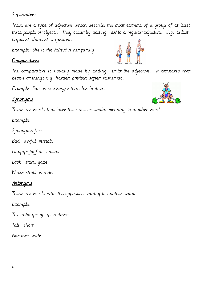### Superlatives

These are a type of adjective which describe the most extreme of a group of at least three people or objects. They occur by adding -est to a regular adjective. E.g. tallest, happiest, thinnest, largest etc.

Example: She is the *tallest* in her family.

### Comparatives

The comparative is usually made by adding -er to the adjective. It compares two people or things e.g. harder, prettier, softer, tastier etc.

Example: Sam was stronger than his brother.

# Synonyms

These are words that have the same or similar meaning to another word.

Example:

Synonyms for:

Bad- awful, terrible

Happy- joyful, content

Look- stare, gaze

Walk- stroll, wander

### Antonyms

These are words with the opposite meaning to another word.

Example:

The antonym of up is down.

Tall- short

Narrow- wide

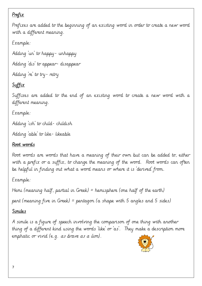# Prefix

Prefixes are added to the beginning of an existing word in order to create a new word with a different meaning.

Example:

Adding 'un' to happy- unhappy Adding 'dis' to appear- disappear Adding 're' to try- retry

# **Suffix**

Suffixes are added to the end of an existing word to create a new word with a different meaning.

Example:

Adding 'ish' to child- childish

Adding 'able' to like- likeable

# Root words

Root words are words that have a meaning of their own but can be added to, either with a prefix or a suffix, to change the meaning of the word. Root words can often be helpful in finding out what a word means or where it is 'derived' from.

Example:

Hemi (meaning half, partial in Greek) = hemisphere (one half of the earth)

pent (meaning five in Greek) = pentagon (a shape with 5 angles and 5 sides)

# Similes

A simile is a figure of speech involving the comparison of one thing with another thing of a different kind using the words 'like' or 'as'. They make a description more emphatic or vivid (e.g. as brave as a lion).

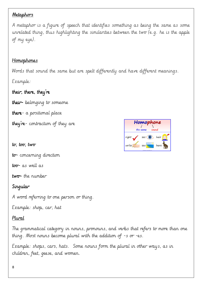#### **Metaphors**

A metaphor is a figure of speech that identifies something as being the same as some unrelated thing, thus highlighting the similarities between the two (e.g. he is the apple of my eye).

### Homophones

Words that sound the same but are spelt differently and have different meanings. Example:

# their, there, they're

their- belonging to someone

there-  $a$  positional place

they're- contraction of they are

 $t\sigma$ ,  $t\sigma$ ,  $t\sigma$ 

to-concerning direction

 $to$  $\sigma$ - as well as

two-the number

# Singular

A word referring to one person or thing.

Example: shop, car, hat

### Plural

The grammatical category in nouns, pronouns, and verbs that refers to more than one thing. Most nouns become plural with the addition of  $-$ s or  $-e$ s.

Example: shops, cars, hats. Some nouns form the plural in other ways, as in children, feet, geese, and women.

|       | Homophone |     |       |      |  |
|-------|-----------|-----|-------|------|--|
|       | the same  |     | sound |      |  |
| right |           | see |       | hair |  |
| write |           | sea |       | hare |  |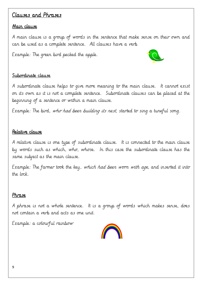# Clauses and Phrases

#### Main clause

A main clause is a group of words in the sentence that make sense on their own and can be used as a complete sentence. All clauses have a verb

Example: The green bird pecked the apple.



#### Subordinate clause

A subordinate clause helps to give more meaning to the main clause. It cannot exist on its own as it is not a complete sentence. Subordinate clauses can be placed at the beginning of a sentence or within a main clause.

Example: The bird, who had been building its nest, started to sing a tuneful song.

#### Relative clause

A relative clause is one type of subordinate clause. It is connected to the main clause by words such as which, who, whose. In this case the subordinate clause has the same subject as the main clause.

Example: The farmer took the key, which had been worn with age, and inserted it into the lock.

#### Phrase

A phrase is not a whole sentence. It is a group of words which makes sense, does not contain a verb and acts as one unit.

Example: a colourful rainbow

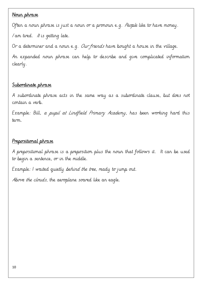### Nour phrase

Often a noun phrase is just a noun or a pronoun e.g. People like to have money.

 $\sqrt{am}$  tired.  $\sqrt{t}$  is getting late.

Or a determiner and a noun e.g. Our friends have bought a house in the village.

An expanded noun phrase can help to describe and give complicated information clearly.

### Subordinate phrase

A subordinate phrase acts in the same way as a subordinate clause, but does not contain a verb.

Example: Bill, a pupil at Lindfield Primary Academy, has been working hard this term.

## Prepositional phrase

A prepositional phrase is a preposition plus the noun that follows it. It can be used to begin a sentence, or in the middle.

Example: I waited quietly behind the tree, ready to jump out. Above the clouds, the aeroplane soared like an eagle.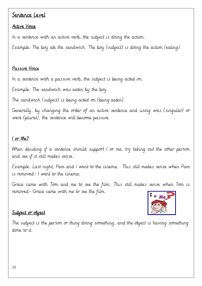### Sentence Level

#### Active Voice

In a sentence with an active verb, the subject is doing the action.

Example: The boy ate the sandwich. The boy (subject) is doing the action (eating).

#### Passive Voice

In a sentence with a passive verb, the subject is being acted on.

Example: The sandwich was eaten by the boy.

The sandwich (subject) is being acted on (being eaten).

Generally, by changing the order of an active sentence and using was (singular) or were (plural), the sentence will become passive.

### $I$  or Me?

When deciding if a sentence should support I or me, try taking out the other person and see if it still makes sense.

Example: Last night, Pam and I went to the cinema. This still makes sense when Pam is removed- I went to the cinema.

Grace came with Tom and me to see the film. This still makes sense when Tom is removed- Grace came with me to see the film.



### <u>Subject or object</u>

The subject is the person or thing doing something, and the object is having something done to it.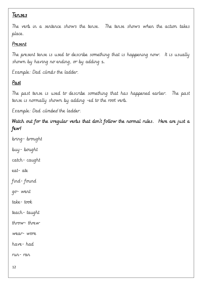# Tenses

The verb in a sentence shows the tense. The tense shows when the action takes place.

## Present

The present tense is used to describe something that is happening now. It is usually shown by having no ending, or by adding s.

Example: Dad climbs the ladder.

# Past

The past tense is used to describe something that has happened earlier. The past tense is normally shown by adding -ed to the root verb.

Example: Dad *climbed* the ladder.

Watch out for the irregular verbs that don't follow the normal rules. Here are just a few!

bring- brought buy- bought catch- caught eat- ate find- found go- went take- took teach- taught throw- threw wear- wore have- had run- ran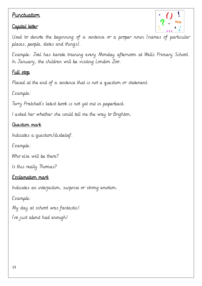## Punctuation

# Capital letter



Used to denote the beginning of a sentence or a proper noun (names of particular places, people, dates and things).

Example: Joel has karate training every Monday afternoon at Wells Primary School. In January, the children will be visiting London Zoo.

### <u>Full stop</u>

Placed at the end of a sentence that is not a question or statement.

Example:

Terry Pratchett's latest book is not yet out in paperback.

I asked her whether she could tell me the way to Brighton.

### Question mark

Indicates a question/disbelief.

Example:

Who else will be there?

Is this really Thomas?

### Exclamation mark

Indicates an interjection, surprise or strong emotion.

Example:

My day at school was fantastic! I've just about had enough!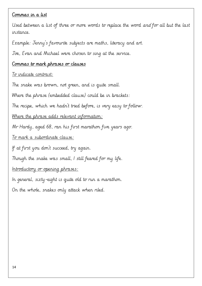#### Commas in a list

Used between a list of three or more words to replace the word and for all but the last instance.

Example: Jenny's favourite subjects are maths, literacy and art.

Joe, Evan and Michael were chosen to sing at the service.

### Commas to mark phrases or clauses

#### To indicate contrast:

The snake was brown, not green, and is quite small. Where the phrase (embedded clause) could be in brackets: The recipe, which we hadn't tried before, is very easy to follow. Where the phrase adds relevant information: Mr Hardy, aged 68, ran his first marathon five years ago. To mark a subordinate clause: If at first you don't succeed, try again. Though the snake was small, I still feared for my life. Introductory or opening phrases: In general, sixty-eight is quite old to run a marathon.

On the whole, snakes only attack when riled.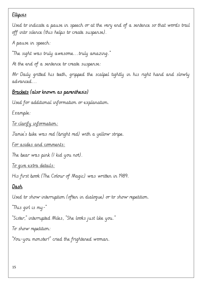### Ellipsis Ellipsis

Used to indicate a pause in speech or at the very end of a sentence so that words trail off into silence (this helps to create suspense).

A pause in speech:

"The sight was truly awesome...truly amazing."

At the end of a sentence to create suspense:

Mr Daily gritted his teeth, gripped the scalpel tightly in his right hand and slowly advanced...

# Brackets (also known as parenthesis)

Used for additional information or explanation.

Example:

To clarify information:

Jamie's bike was red (bright red) with a yellow stripe.

For asides and comments:

The bear was pink (I kid you not).

To give extra details:

His first book (The Colour of Magic) was written in 1989.

# Dash

Used to show interruption (often in dialogue) or to show repetition.

"This girl is my-"

"Sister," interrupted Miles, "She looks just like you."

To show repetition:

"You-you monster!" cried the frightened woman.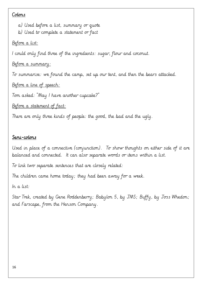#### Colons

a) Used before a list, summary or quote b) Used to complete a statement or fact Before a list:

I could only find three of the ingredients: sugar, flour and coconut.

Before a summary:

To summarise: we found the camp, set up our tent, and then the bears attacked.

Before a line of speech:

Tom asked: "May I have another cupcake?"

Before a statement of fact:

There are only three kinds of people: the good, the bad and the ugly.

### Semi-colons

Used in place of a connective (conjunction). To show thoughts on either side of it are balanced and connected. It can also separate words or items within a list.

To link two separate sentences that are closely related:

The children came home today; they had been away for a week.

In a list:

Star Trek, created by Gene Roddenberry; Babylon 5, by JMS; Buffy, by Joss Whedon; and Farscape, from the Henson Company.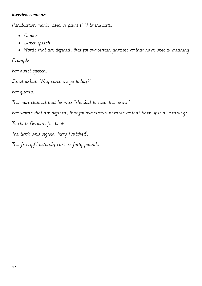#### Inverted commas

Punctuation marks used in pairs (" ") to indicate:

- Quotes
- Direct speech
- Words that are defined, that follow certain phrases or that have special meaning

Example:

For direct speech:

Janet asked, "Why can't we go today?"

For quotes:

The man claimed that he was "shocked to hear the news."

For words that are defined, that follow certain phrases or that have special meaning:

'Buch' is German for book.

The book was signed 'Terry Pratchett'.

The 'free gift' actually cost us forty pounds.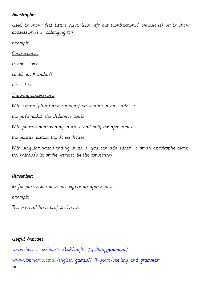### Apostrophes

Used to show that letters have been left out (contractions/ omissions) or to show possession (i.e. 'belonging to')

Example:

Contractions:

is not  $=$  isn't

could not = couldn't

 $it's = it$  is

Showing possession:

With nouns (plural and singular) not ending in an s add 's:

the girl's jacket, the children's books

With plural nouns ending in an s, add only the apostrophe:

the guards' duties, the Jones' house

With singular nouns ending in an s, you can add either 's or an apostrophe alone: the witness's lie or the witness' lie (be consistent).

### Remember:

Its for possession does not require an apostrophe.

Example-

The tree had lost all of *its* leaves.

### <u>Useful Websites</u>

 $www.\texttt{bbc}.\texttt{co}.uk/\texttt{bits}$ ize/ $\texttt{ks2}/\texttt{english}/\texttt{spelling2}$ grammar/

www.topmarks.co.uk/english-games/7-11-years/spelling-and-grammar grammar

18